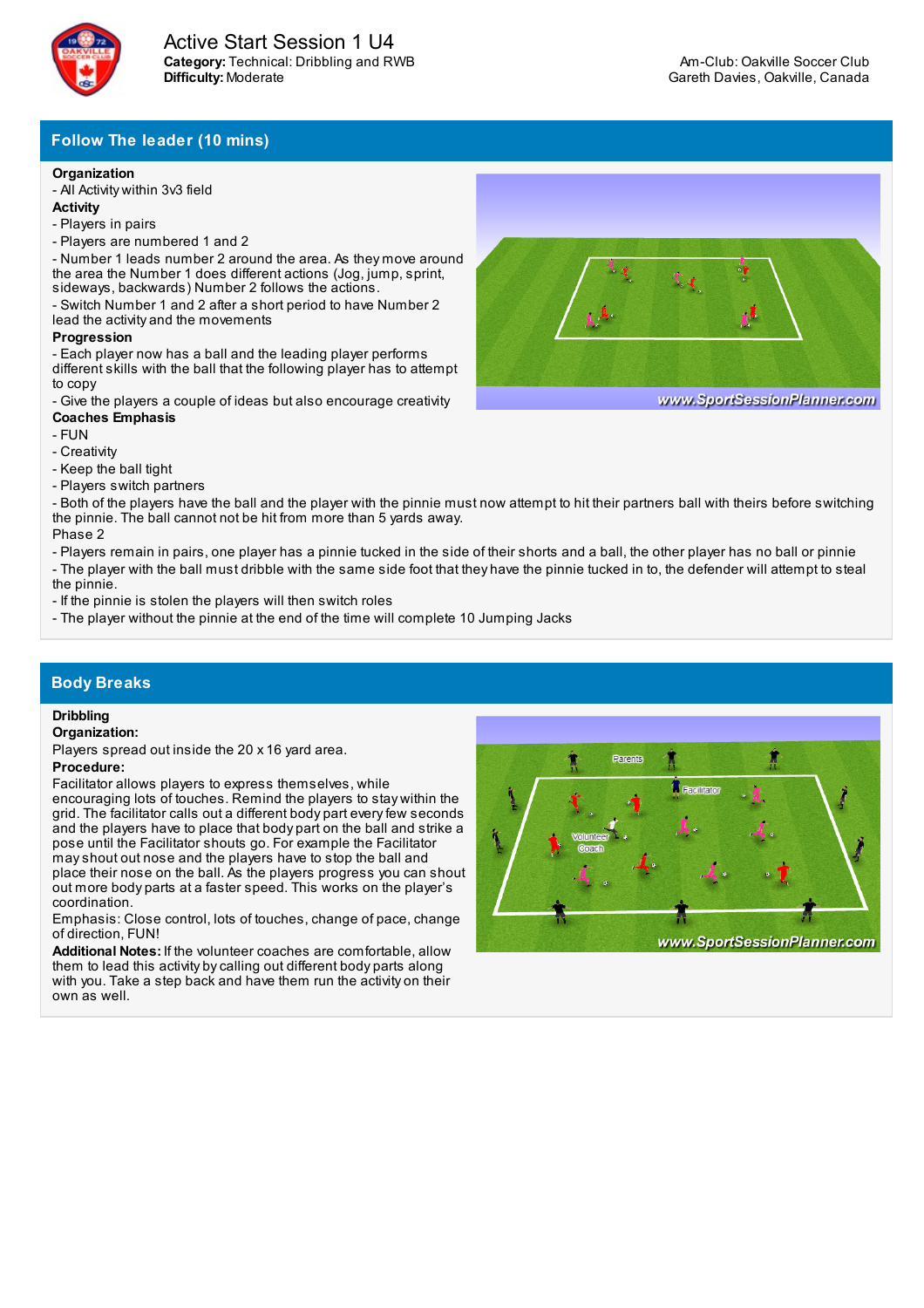

# **Follow The leader (10 mins)**

## **Organization**

- All Activity within 3v3 field

- **Activity**
- Players in pairs
- Players are numbered 1 and 2

- Number 1 leads number 2 around the area. As they move around the area the Number 1 does different actions (Jog, jump, sprint, sideways, backwards) Number 2 follows the actions.

- Switch Number 1 and 2 after a short period to have Number 2 lead the activity and the movements

### **Progression**

- Each player now has a ball and the leading player performs different skills with the ball that the following player has to attempt to copy

- Give the players a couple of ideas but also encourage creativity **Coaches Emphasis**

- FUN
- Creativity
- Keep the ball tight
- Players switch partners

- Both of the players have the ball and the player with the pinnie must now attempt to hit their partners ball with theirs before switching the pinnie. The ball cannot not be hit from more than 5 yards away. Phase 2

- Players remain in pairs, one player has a pinnie tucked in the side of their shorts and a ball, the other player has no ball or pinnie

- The player with the ball must dribble with the same side foot that they have the pinnie tucked in to, the defender will attempt to steal the pinnie.

- If the pinnie is stolen the players will then switch roles

- The player without the pinnie at the end of the time will complete 10 Jumping Jacks

## **Body Breaks**

### **Dribbling**

#### **Organization:**

Players spread out inside the 20 x 16 yard area.

### **Procedure:**

Facilitator allows players to express themselves, while

encouraging lots of touches. Remind the players to stay within the grid. The facilitator calls out a different body part everyfew seconds and the players have to place that body part on the ball and strike a pose until the Facilitator shouts go. For example the Facilitator mayshout out nose and the players have to stop the ball and place their nose on the ball. As the players progress you can shout out more body parts at a faster speed. This works on the player's coordination.

Emphasis: Close control, lots of touches, change of pace, change of direction, FUN!

**Additional Notes:** If the volunteer coaches are comfortable, allow them to lead this activity bycalling out different body parts along with you. Take a step back and have them run the activity on their own as well.





www.SportSessionPlanner.com